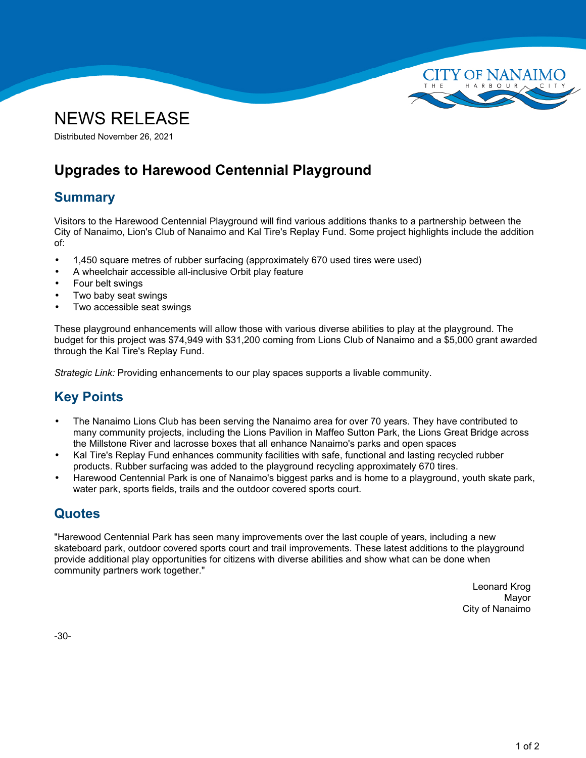



Distributed November 26, 2021

# **Upgrades to Harewood Centennial Playground**

### **Summary**

Visitors to the Harewood Centennial Playground will find various additions thanks to <sup>a</sup> partnership between the City of Nanaimo, Lion's Club of Nanaimo and Kal Tire's Replay Fund. Some project highlights include the addition of:

- •1,450 square metres of rubber surfacing (approximately 670 used tires were used)
- •A wheelchair accessible all-inclusive Orbit play feature
- •Four belt swings
- •Two baby seat swings
- •Two accessible seat swings

These playground enhancements will allow those with various diverse abilities to play at the playground. The budget for this project was \$74,949 with \$31,200 coming from Lions Club of Nanaimo and <sup>a</sup> \$5,000 grant awarded through the Kal Tire's Replay Fund.

*Strategic Link:* Providing enhancements to our play spaces supports <sup>a</sup> livable community.

## **Key Points**

- • The Nanaimo Lions Club has been serving the Nanaimo area for over 70 years. They have contributed to many community projects, including the Lions Pavilion in Maffeo Sutton Park, the Lions Great Bridge across the Millstone River and lacrosse boxes that all enhance Nanaimo's parks and open spaces
- • Kal Tire's Replay Fund enhances community facilities with safe, functional and lasting recycled rubber products. Rubber surfacing was added to the playground recycling approximately 670 tires.
- • Harewood Centennial Park is one of Nanaimo's biggest parks and is home to <sup>a</sup> playground, youth skate park, water park, sports fields, trails and the outdoor covered sports court.

#### **Quotes**

"Harewood Centennial Park has seen many improvements over the last couple of years, including <sup>a</sup> new skateboard park, outdoor covered sports court and trail improvements. These latest additions to the playground provide additional play opportunities for citizens with diverse abilities and show what can be done when community partners work together."

> Leonard Krog Mayor City of Nanaimo

-30-